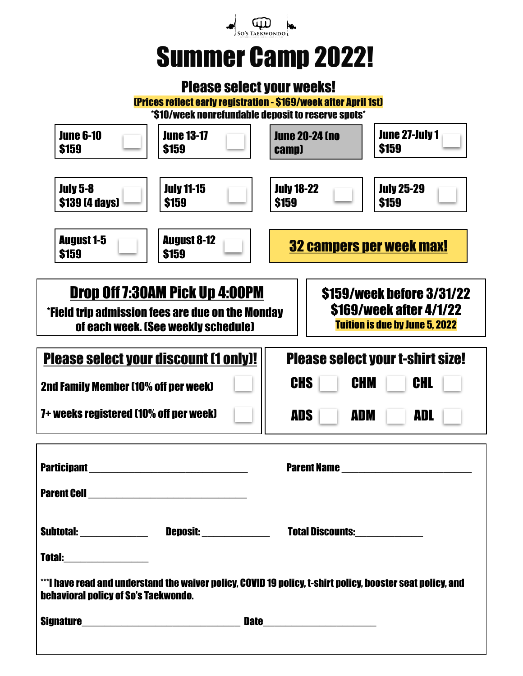

# Summer Camp 2022!

# Please select your weeks!

(Prices reflect early registration - \$169/week after April 1st)

\*\$10/week nonrefundable deposit to reserve spots\*

| <b>June 6-10</b><br><b>\$159</b>                                                                                                                                                                                                         | <b>June 13-17</b><br><b>\$159</b>                                     | <b>June 20-24 (no</b><br>camp)    | <b>June 27-July 1</b><br><b>\$159</b> |
|------------------------------------------------------------------------------------------------------------------------------------------------------------------------------------------------------------------------------------------|-----------------------------------------------------------------------|-----------------------------------|---------------------------------------|
| <b>July 5-8</b><br>\$139 [4 days]                                                                                                                                                                                                        | <b>July 11-15</b><br><b>\$159</b>                                     | <b>July 18-22</b><br><b>\$159</b> | <b>July 25-29</b><br><b>\$159</b>     |
| <b>August 1-5</b><br>\$159                                                                                                                                                                                                               | <b>August 8-12</b><br><b>32 campers per week max!</b><br><b>\$159</b> |                                   |                                       |
| Drop Off 7:30AM Pick Up 4:00PM<br><b>S159/week before 3/31/22</b><br>\$169/week after 4/1/22<br>*Field trip admission fees are due on the Monday<br><b>Tuition is due by June 5, 2022</b><br>of each week. (See weekly schedule)         |                                                                       |                                   |                                       |
| <b>Please select your discount (1 only)!</b><br><b>Please select your t-shirt size!</b><br><b>CHS</b><br>CHL<br><b>CHM</b><br>2nd Family Member (10% off per week)<br>7+ weeks registered (10% off per week)<br>ADL<br>ADS<br><b>ADM</b> |                                                                       |                                   |                                       |
| <b>Participant</b><br><b>Parent Cell</b>                                                                                                                                                                                                 |                                                                       | <b>Parent Name</b>                |                                       |
| <b>Total:_____________________</b><br>***I have read and understand the waiver policy, COVID 19 policy, t-shirt policy, booster seat policy, and<br><b>behavioral policy of So's Taekwondo.</b>                                          |                                                                       |                                   |                                       |
| <b>Signature</b><br>Date__________________________                                                                                                                                                                                       |                                                                       |                                   |                                       |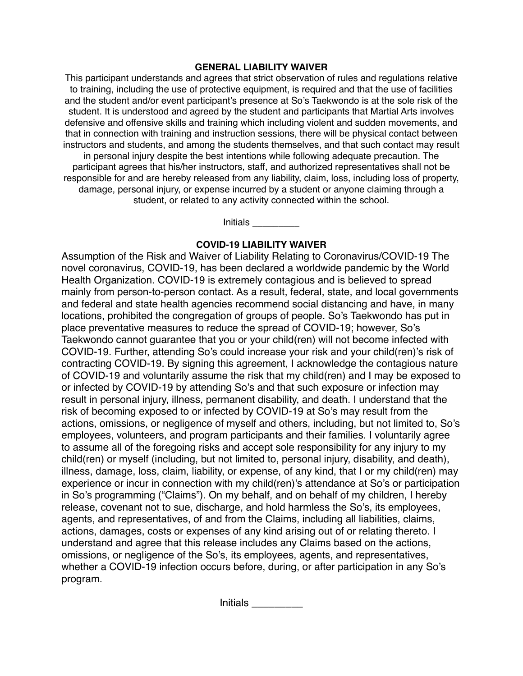## **GENERAL LIABILITY WAIVER**

This participant understands and agrees that strict observation of rules and regulations relative to training, including the use of protective equipment, is required and that the use of facilities and the student and/or event participant's presence at So's Taekwondo is at the sole risk of the student. It is understood and agreed by the student and participants that Martial Arts involves defensive and offensive skills and training which including violent and sudden movements, and that in connection with training and instruction sessions, there will be physical contact between instructors and students, and among the students themselves, and that such contact may result in personal injury despite the best intentions while following adequate precaution. The participant agrees that his/her instructors, staff, and authorized representatives shall not be responsible for and are hereby released from any liability, claim, loss, including loss of property, damage, personal injury, or expense incurred by a student or anyone claiming through a student, or related to any activity connected within the school.

Initials \_\_\_\_\_\_\_\_\_

# **COVID-19 LIABILITY WAIVER**

Assumption of the Risk and Waiver of Liability Relating to Coronavirus/COVID-19 The novel coronavirus, COVID-19, has been declared a worldwide pandemic by the World Health Organization. COVID-19 is extremely contagious and is believed to spread mainly from person-to-person contact. As a result, federal, state, and local governments and federal and state health agencies recommend social distancing and have, in many locations, prohibited the congregation of groups of people. So's Taekwondo has put in place preventative measures to reduce the spread of COVID-19; however, So's Taekwondo cannot guarantee that you or your child(ren) will not become infected with COVID-19. Further, attending So's could increase your risk and your child(ren)'s risk of contracting COVID-19. By signing this agreement, I acknowledge the contagious nature of COVID-19 and voluntarily assume the risk that my child(ren) and I may be exposed to or infected by COVID-19 by attending So's and that such exposure or infection may result in personal injury, illness, permanent disability, and death. I understand that the risk of becoming exposed to or infected by COVID-19 at So's may result from the actions, omissions, or negligence of myself and others, including, but not limited to, So's employees, volunteers, and program participants and their families. I voluntarily agree to assume all of the foregoing risks and accept sole responsibility for any injury to my child(ren) or myself (including, but not limited to, personal injury, disability, and death), illness, damage, loss, claim, liability, or expense, of any kind, that I or my child(ren) may experience or incur in connection with my child(ren)'s attendance at So's or participation in So's programming ("Claims"). On my behalf, and on behalf of my children, I hereby release, covenant not to sue, discharge, and hold harmless the So's, its employees, agents, and representatives, of and from the Claims, including all liabilities, claims, actions, damages, costs or expenses of any kind arising out of or relating thereto. I understand and agree that this release includes any Claims based on the actions, omissions, or negligence of the So's, its employees, agents, and representatives, whether a COVID-19 infection occurs before, during, or after participation in any So's program.

Initials \_\_\_\_\_\_\_\_\_